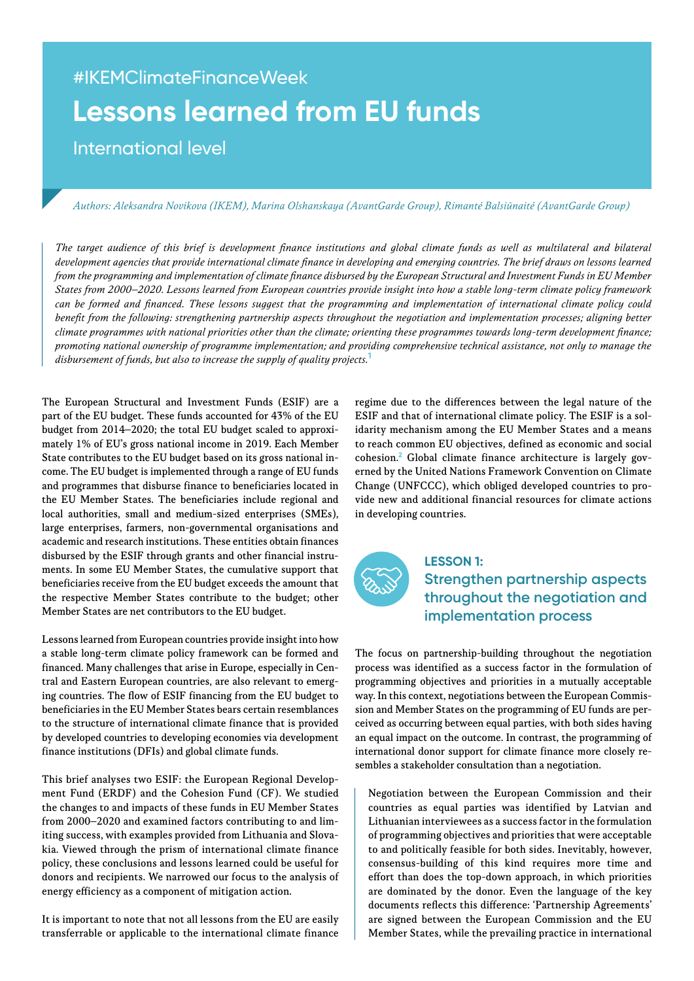# #IKEMClimateFinanceWeek **Lessons learned from EU funds**

International level

#### Authors: Aleksandra Novikova (IKEM), Marina Olshanskaya (AvantGarde Group), Rimantė Balsiūnaitė (AvantGarde Group)

The target audience of this brief is development finance institutions and global climate funds as well as multilateral and bilateral development agencies that provide international climate finance in developing and emerging countries. The brief draws on lessons learned from the programming and implementation of climate finance disbursed by the European Structural and Investment Funds in EU Member States from 2000–2020. Lessons learned from European countries provide insight into how a stable long-term climate policy framework can be formed and financed. These lessons suggest that the programming and implementation of international climate policy could benefit from the following: strengthening partnership aspects throughout the negotiation and implementation processes; aligning better climate programmes with national priorities other than the climate; orienting these programmes towards long-term development finance; promoting national ownership of programme implementation; and providing comprehensive technical assistance, not only to manage the disbursement of funds, but also to increase the supply of quality projects.**<sup>1</sup>**

The European Structural and Investment Funds (ESIF) are a part of the EU budget. These funds accounted for 43% of the EU budget from 2014–2020; the total EU budget scaled to approximately 1% of EU's gross national income in 2019. Each Member State contributes to the EU budget based on its gross national income. The EU budget is implemented through a range of EU funds and programmes that disburse finance to beneficiaries located in the EU Member States. The beneficiaries include regional and local authorities, small and medium-sized enterprises (SMEs), large enterprises, farmers, non-governmental organisations and academic and research institutions. These entities obtain finances disbursed by the ESIF through grants and other financial instruments. In some EU Member States, the cumulative support that beneficiaries receive from the EU budget exceeds the amount that the respective Member States contribute to the budget; other Member States are net contributors to the EU budget.

Lessons learned from European countries provide insight into how a stable long-term climate policy framework can be formed and financed. Many challenges that arise in Europe, especially in Central and Eastern European countries, are also relevant to emerging countries. The flow of ESIF financing from the EU budget to beneficiaries in the EU Member States bears certain resemblances to the structure of international climate finance that is provided by developed countries to developing economies via development finance institutions (DFIs) and global climate funds.

This brief analyses two ESIF: the European Regional Development Fund (ERDF) and the Cohesion Fund (CF). We studied the changes to and impacts of these funds in EU Member States from 2000–2020 and examined factors contributing to and limiting success, with examples provided from Lithuania and Slovakia. Viewed through the prism of international climate finance policy, these conclusions and lessons learned could be useful for donors and recipients. We narrowed our focus to the analysis of energy efficiency as a component of mitigation action.

It is important to note that not all lessons from the EU are easily transferrable or applicable to the international climate finance

regime due to the differences between the legal nature of the ESIF and that of international climate policy. The ESIF is a solidarity mechanism among the EU Member States and a means to reach common EU objectives, defined as economic and social cohesion.**<sup>2</sup>** Global climate finance architecture is largely governed by the United Nations Framework Convention on Climate Change (UNFCCC), which obliged developed countries to provide new and additional financial resources for climate actions in developing countries.



## **LESSON 1: Strengthen partnership aspects throughout the negotiation and implementation process**

The focus on partnership-building throughout the negotiation process was identified as a success factor in the formulation of programming objectives and priorities in a mutually acceptable way. In this context, negotiations between the European Commission and Member States on the programming of EU funds are perceived as occurring between equal parties, with both sides having an equal impact on the outcome. In contrast, the programming of international donor support for climate finance more closely resembles a stakeholder consultation than a negotiation.

Negotiation between the European Commission and their countries as equal parties was identified by Latvian and Lithuanian interviewees as a success factor in the formulation of programming objectives and priorities that were acceptable to and politically feasible for both sides. Inevitably, however, consensus-building of this kind requires more time and effort than does the top-down approach, in which priorities are dominated by the donor. Even the language of the key documents reflects this difference: 'Partnership Agreements' are signed between the European Commission and the EU Member States, while the prevailing practice in international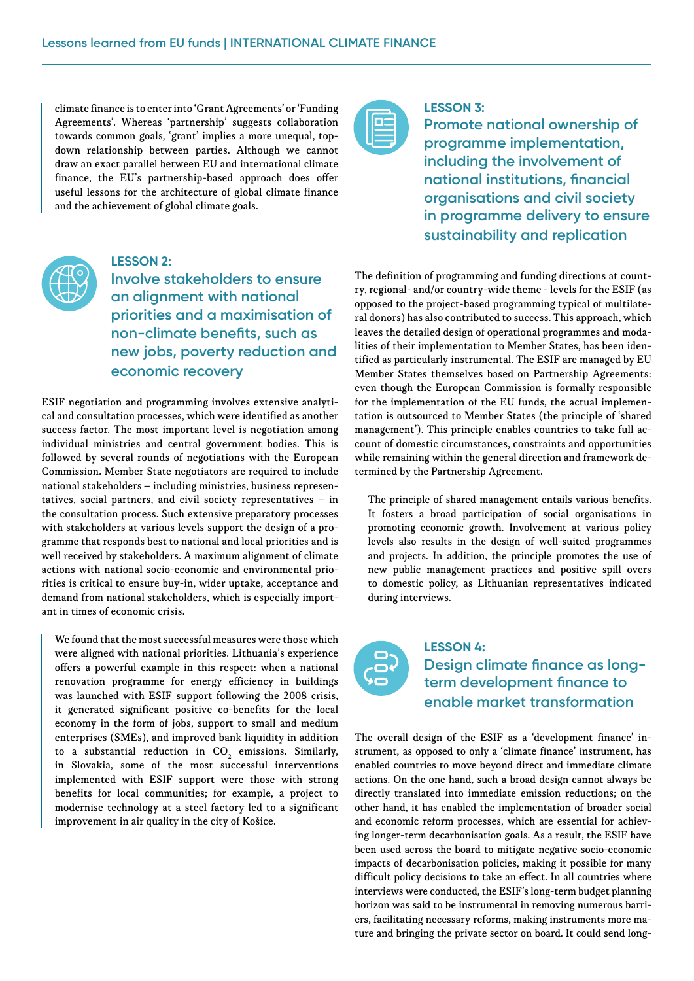climate finance is to enter into 'Grant Agreements' or 'Funding Agreements'. Whereas 'partnership' suggests collaboration towards common goals, 'grant' implies a more unequal, topdown relationship between parties. Although we cannot draw an exact parallel between EU and international climate finance, the EU's partnership-based approach does offer useful lessons for the architecture of global climate finance and the achievement of global climate goals.

#### **LESSON 3:**

**Promote national ownership of programme implementation, including the involvement of national institutions, financial organisations and civil society in programme delivery to ensure sustainability and replication**



### **LESSON 2:**

**Involve stakeholders to ensure an alignment with national priorities and a maximisation of non-climate benefits, such as new jobs, poverty reduction and economic recovery**

ESIF negotiation and programming involves extensive analytical and consultation processes, which were identified as another success factor. The most important level is negotiation among individual ministries and central government bodies. This is followed by several rounds of negotiations with the European Commission. Member State negotiators are required to include national stakeholders – including ministries, business representatives, social partners, and civil society representatives  $-$  in the consultation process. Such extensive preparatory processes with stakeholders at various levels support the design of a programme that responds best to national and local priorities and is well received by stakeholders. A maximum alignment of climate actions with national socio-economic and environmental priorities is critical to ensure buy-in, wider uptake, acceptance and demand from national stakeholders, which is especially important in times of economic crisis.

We found that the most successful measures were those which were aligned with national priorities. Lithuania's experience offers a powerful example in this respect: when a national renovation programme for energy efficiency in buildings was launched with ESIF support following the 2008 crisis, it generated significant positive co-benefits for the local economy in the form of jobs, support to small and medium enterprises (SMEs), and improved bank liquidity in addition to a substantial reduction in  $\mathrm{CO}_2^+$  emissions. Similarly, in Slovakia, some of the most successful interventions implemented with ESIF support were those with strong benefits for local communities; for example, a project to modernise technology at a steel factory led to a significant improvement in air quality in the city of Košice.

The definition of programming and funding directions at country, regional- and/or country-wide theme - levels for the ESIF (as opposed to the project-based programming typical of multilateral donors) has also contributed to success. This approach, which leaves the detailed design of operational programmes and modalities of their implementation to Member States, has been identified as particularly instrumental. The ESIF are managed by EU Member States themselves based on Partnership Agreements: even though the European Commission is formally responsible for the implementation of the EU funds, the actual implementation is outsourced to Member States (the principle of 'shared management'). This principle enables countries to take full account of domestic circumstances, constraints and opportunities while remaining within the general direction and framework determined by the Partnership Agreement.

The principle of shared management entails various benefits. It fosters a broad participation of social organisations in promoting economic growth. Involvement at various policy levels also results in the design of well-suited programmes and projects. In addition, the principle promotes the use of new public management practices and positive spill overs to domestic policy, as Lithuanian representatives indicated during interviews.



## **LESSON 4: Design climate finance as longterm development finance to enable market transformation**

The overall design of the ESIF as a 'development finance' instrument, as opposed to only a 'climate finance' instrument, has enabled countries to move beyond direct and immediate climate actions. On the one hand, such a broad design cannot always be directly translated into immediate emission reductions; on the other hand, it has enabled the implementation of broader social and economic reform processes, which are essential for achieving longer-term decarbonisation goals. As a result, the ESIF have been used across the board to mitigate negative socio-economic impacts of decarbonisation policies, making it possible for many difficult policy decisions to take an effect. In all countries where interviews were conducted, the ESIF's long-term budget planning horizon was said to be instrumental in removing numerous barriers, facilitating necessary reforms, making instruments more mature and bringing the private sector on board. It could send long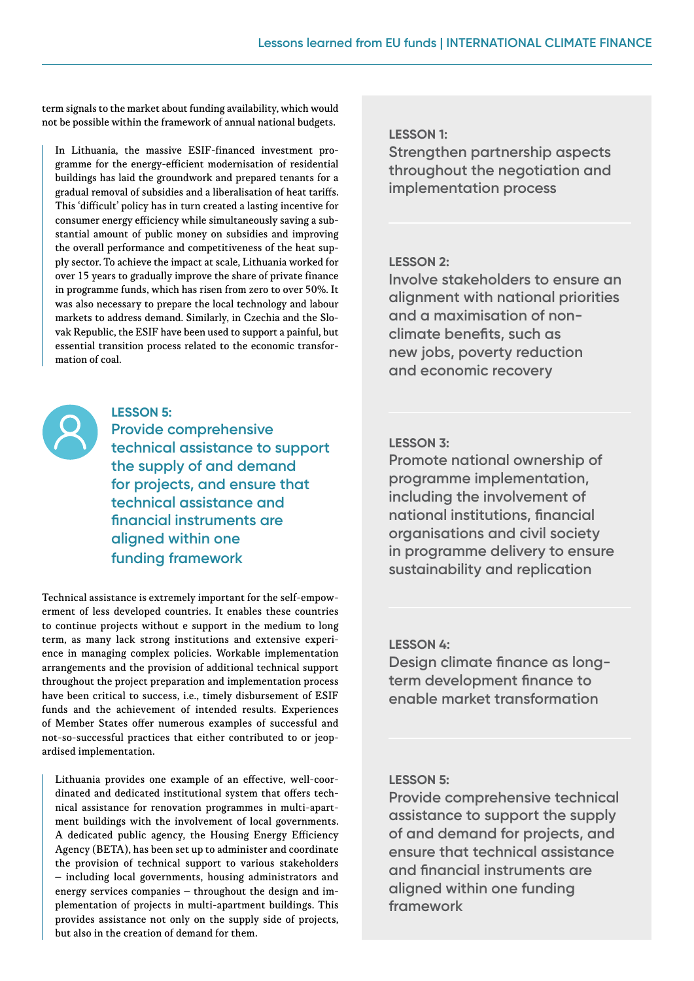term signals to the market about funding availability, which would not be possible within the framework of annual national budgets.

In Lithuania, the massive ESIF-financed investment programme for the energy-efficient modernisation of residential buildings has laid the groundwork and prepared tenants for a gradual removal of subsidies and a liberalisation of heat tariffs. This 'difficult' policy has in turn created a lasting incentive for consumer energy efficiency while simultaneously saving a substantial amount of public money on subsidies and improving the overall performance and competitiveness of the heat supply sector. To achieve the impact at scale, Lithuania worked for over 15 years to gradually improve the share of private finance in programme funds, which has risen from zero to over 50%. It was also necessary to prepare the local technology and labour markets to address demand. Similarly, in Czechia and the Slovak Republic, the ESIF have been used to support a painful, but essential transition process related to the economic transformation of coal.

#### **LESSON 5:**

**Provide comprehensive technical assistance to support the supply of and demand for projects, and ensure that technical assistance and financial instruments are aligned within one funding framework**

Technical assistance is extremely important for the self-empowerment of less developed countries. It enables these countries to continue projects without e support in the medium to long term, as many lack strong institutions and extensive experience in managing complex policies. Workable implementation arrangements and the provision of additional technical support throughout the project preparation and implementation process have been critical to success, i.e., timely disbursement of ESIF funds and the achievement of intended results. Experiences of Member States offer numerous examples of successful and not-so-successful practices that either contributed to or jeopardised implementation.

Lithuania provides one example of an effective, well-coordinated and dedicated institutional system that offers technical assistance for renovation programmes in multi-apartment buildings with the involvement of local governments. A dedicated public agency, the Housing Energy Efficiency Agency (BETA), has been set up to administer and coordinate the provision of technical support to various stakeholders – including local governments, housing administrators and energy services companies – throughout the design and implementation of projects in multi-apartment buildings. This provides assistance not only on the supply side of projects, but also in the creation of demand for them.

#### **LESSON 1:**

**Strengthen partnership aspects throughout the negotiation and implementation process**

### **LESSON 2:**

**Involve stakeholders to ensure an alignment with national priorities and a maximisation of nonclimate benefits, such as new jobs, poverty reduction and economic recovery**

### **LESSON 3:**

**Promote national ownership of programme implementation, including the involvement of national institutions, financial organisations and civil society in programme delivery to ensure sustainability and replication**

#### **LESSON 4:**

**Design climate finance as longterm development finance to enable market transformation**

### **LESSON 5:**

**Provide comprehensive technical assistance to support the supply of and demand for projects, and ensure that technical assistance and financial instruments are aligned within one funding framework**